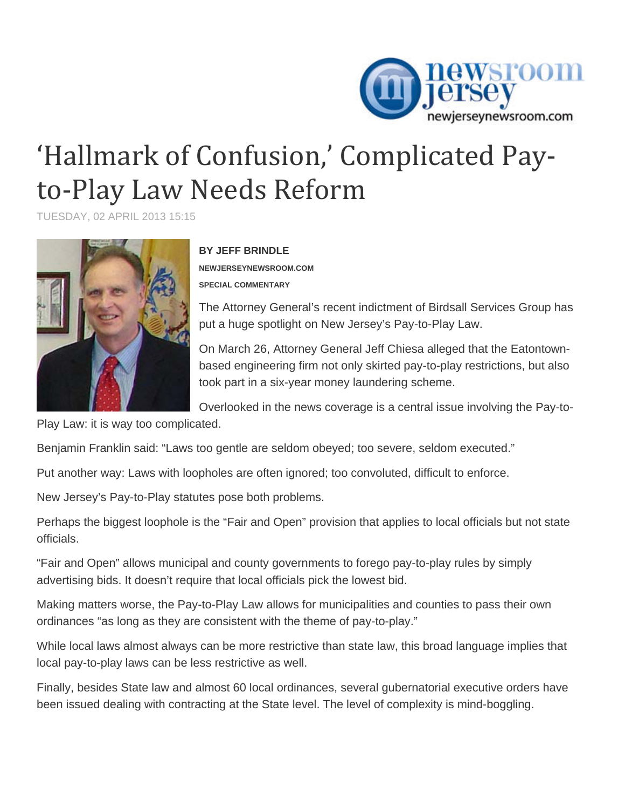

## 'Hallmark of Confusion,' Complicated Pay‐ to‐Play Law Needs Reform

TUESDAY, 02 APRIL 2013 15:15



**BY JEFF BRINDLE** 

**NEWJERSEYNEWSROOM.COM SPECIAL COMMENTARY** 

The Attorney General's recent indictment of Birdsall Services Group has put a huge spotlight on New Jersey's Pay-to-Play Law.

On March 26, Attorney General Jeff Chiesa alleged that the Eatontownbased engineering firm not only skirted pay-to-play restrictions, but also took part in a six-year money laundering scheme.

Overlooked in the news coverage is a central issue involving the Pay-to-

Play Law: it is way too complicated.

Benjamin Franklin said: "Laws too gentle are seldom obeyed; too severe, seldom executed."

Put another way: Laws with loopholes are often ignored; too convoluted, difficult to enforce.

New Jersey's Pay-to-Play statutes pose both problems.

Perhaps the biggest loophole is the "Fair and Open" provision that applies to local officials but not state officials.

"Fair and Open" allows municipal and county governments to forego pay-to-play rules by simply advertising bids. It doesn't require that local officials pick the lowest bid.

Making matters worse, the Pay-to-Play Law allows for municipalities and counties to pass their own ordinances "as long as they are consistent with the theme of pay-to-play."

While local laws almost always can be more restrictive than state law, this broad language implies that local pay-to-play laws can be less restrictive as well.

Finally, besides State law and almost 60 local ordinances, several gubernatorial executive orders have been issued dealing with contracting at the State level. The level of complexity is mind-boggling.